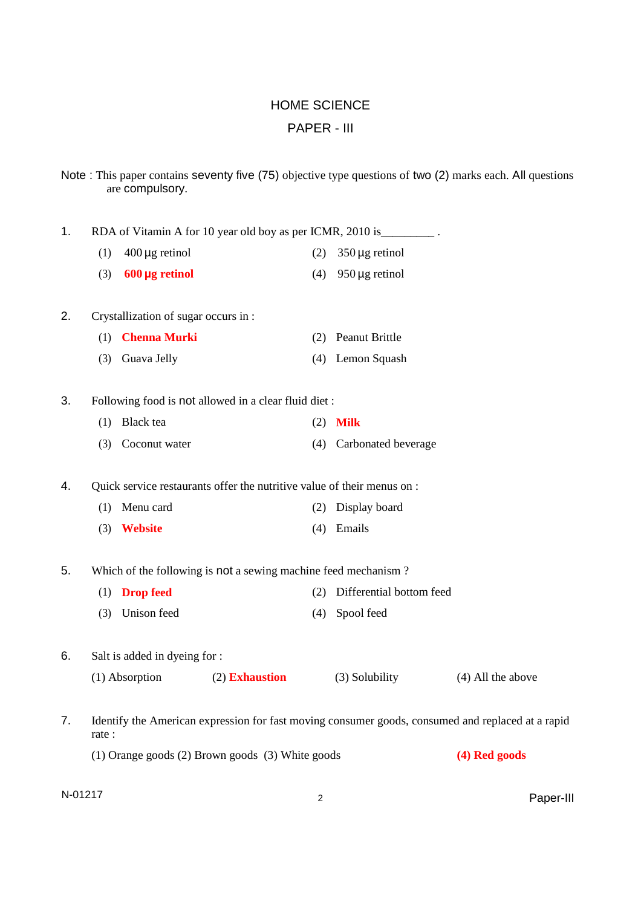## HOME SCIENCE PAPER - III

|    |                                                                   | are compulsory.                     |                                                                         |     |                                                                       | Note: This paper contains seventy five (75) objective type questions of two (2) marks each. All questions |
|----|-------------------------------------------------------------------|-------------------------------------|-------------------------------------------------------------------------|-----|-----------------------------------------------------------------------|-----------------------------------------------------------------------------------------------------------|
| 1. |                                                                   |                                     |                                                                         |     | RDA of Vitamin A for 10 year old boy as per ICMR, 2010 is __________. |                                                                                                           |
|    | (1)                                                               | $400 \mu g$ retinol                 |                                                                         | (2) | $350 \mu g$ retinol                                                   |                                                                                                           |
|    | (3)                                                               | $600 \mu g$ retinol                 |                                                                         | (4) | $950 \mu g$ retinol                                                   |                                                                                                           |
| 2. |                                                                   | Crystallization of sugar occurs in: |                                                                         |     |                                                                       |                                                                                                           |
|    | (1)                                                               | <b>Chenna Murki</b>                 |                                                                         | (2) | <b>Peanut Brittle</b>                                                 |                                                                                                           |
|    | (3)                                                               | Guava Jelly                         |                                                                         |     | (4) Lemon Squash                                                      |                                                                                                           |
| 3. |                                                                   |                                     | Following food is not allowed in a clear fluid diet:                    |     |                                                                       |                                                                                                           |
|    | (1)                                                               | Black tea                           |                                                                         | (2) | <b>Milk</b>                                                           |                                                                                                           |
|    | (3)                                                               | Coconut water                       |                                                                         | (4) | Carbonated beverage                                                   |                                                                                                           |
| 4. |                                                                   |                                     | Quick service restaurants offer the nutritive value of their menus on : |     |                                                                       |                                                                                                           |
|    | (1)                                                               | Menu card                           |                                                                         | (2) | Display board                                                         |                                                                                                           |
|    | (3)                                                               | <b>Website</b>                      |                                                                         | (4) | Emails                                                                |                                                                                                           |
| 5. |                                                                   |                                     | Which of the following is not a sewing machine feed mechanism?          |     |                                                                       |                                                                                                           |
|    | (1)                                                               | <b>Drop feed</b>                    |                                                                         | (2) | Differential bottom feed                                              |                                                                                                           |
|    | (3)                                                               | Unison feed                         |                                                                         | (4) | Spool feed                                                            |                                                                                                           |
| 6. |                                                                   | Salt is added in dyeing for :       |                                                                         |     |                                                                       |                                                                                                           |
|    |                                                                   | (1) Absorption                      | (2) Exhaustion                                                          |     | (3) Solubility                                                        | $(4)$ All the above                                                                                       |
| 7. | rate:                                                             |                                     |                                                                         |     |                                                                       | Identify the American expression for fast moving consumer goods, consumed and replaced at a rapid         |
|    | (1) Orange goods (2) Brown goods (3) White goods<br>(4) Red goods |                                     |                                                                         |     |                                                                       |                                                                                                           |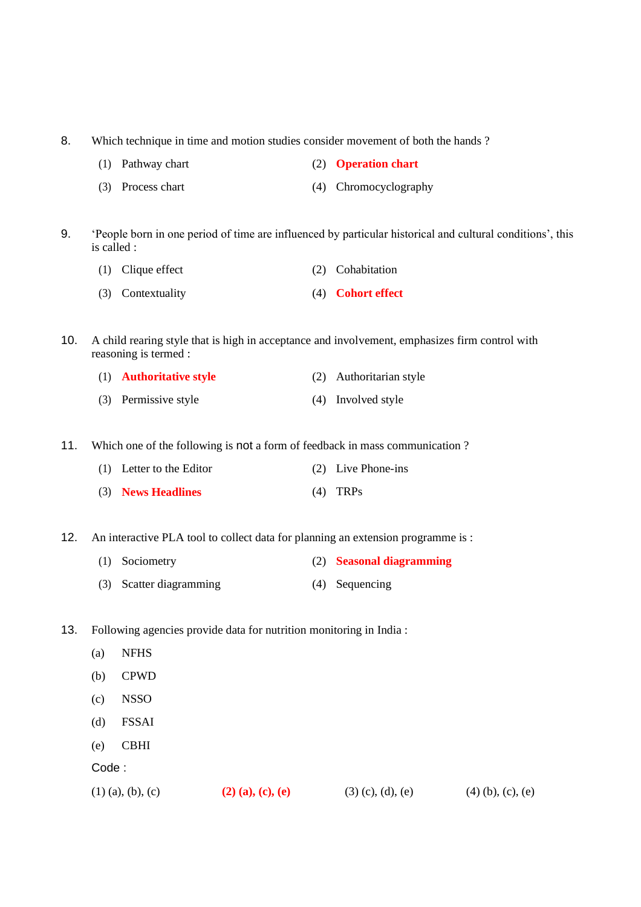- 8. Which technique in time and motion studies consider movement of both the hands ?
	- (1) Pathway chart (2) **Operation chart**
	- (3) Process chart (4) Chromocyclography
- 9. 'People born in one period of time are influenced by particular historical and cultural conditions', this is called :
	- (1) Clique effect (2) Cohabitation
	- (3) Contextuality (4) **Cohort effect**
- 10. A child rearing style that is high in acceptance and involvement, emphasizes firm control with reasoning is termed :
	- (1) **Authoritative style** (2) Authoritarian style (3) Permissive style (4) Involved style
- 11. Which one of the following is not a form of feedback in mass communication ?
	- (1) Letter to the Editor (2) Live Phone-ins
	- (3) **News Headlines** (4) TRPs
- 12. An interactive PLA tool to collect data for planning an extension programme is :
	- (1) Sociometry (2) **Seasonal diagramming**
	- (3) Scatter diagramming (4) Sequencing
- 13. Following agencies provide data for nutrition monitoring in India :
	- (a) NFHS
	- (b) CPWD
	- (c) NSSO
	- (d) FSSAI
	- (e) CBHI

(1) (a), (b), (c) **(2) (a), (c), (e)** (3) (c), (d), (e) (4) (b), (c), (e)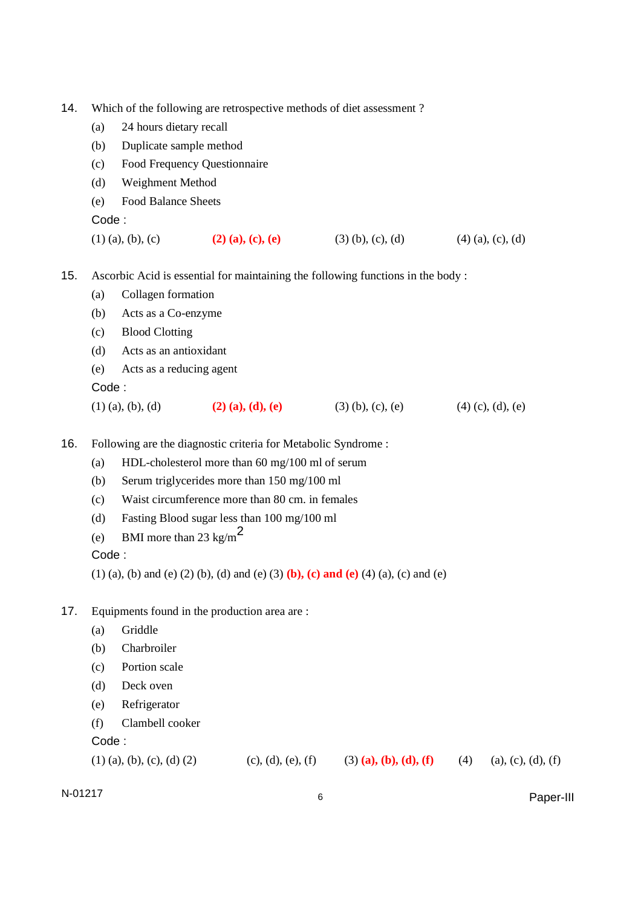- 14. Which of the following are retrospective methods of diet assessment ?
	- (a) 24 hours dietary recall
	- (b) Duplicate sample method
	- (c) Food Frequency Questionnaire
	- (d) Weighment Method
	- (e) Food Balance Sheets

- (1) (a), (b), (c) **(2) (a), (c), (e)** (3) (b), (c), (d) (4) (a), (c), (d)
- 15. Ascorbic Acid is essential for maintaining the following functions in the body :
	- (a) Collagen formation
	- (b) Acts as a Co-enzyme
	- (c) Blood Clotting
	- (d) Acts as an antioxidant
	- (e) Acts as a reducing agent

Code :

- (1) (a), (b), (d) **(2) (a), (d), (e)** (3) (b), (c), (e) (4) (c), (d), (e)
- 16. Following are the diagnostic criteria for Metabolic Syndrome :
	- (a) HDL-cholesterol more than 60 mg/100 ml of serum
	- (b) Serum triglycerides more than 150 mg/100 ml
	- (c) Waist circumference more than 80 cm. in females
	- (d) Fasting Blood sugar less than 100 mg/100 ml
	- (e) BMI more than 23 kg/m<sup>2</sup>

Code :

(1) (a), (b) and (e) (2) (b), (d) and (e) (3) **(b), (c) and (e)** (4) (a), (c) and (e)

- 17. Equipments found in the production area are :
	- (a) Griddle
	- (b) Charbroiler
	- (c) Portion scale
	- (d) Deck oven
	- (e) Refrigerator
	- (f) Clambell cooker

Code :

| $(4)$ (a), (c), (d), (f)<br>$(1)$ (a), (b), (c), (d) (2)<br>(c), (d), (e), (f)<br>$(3)$ (a), (b), (d), (f) |
|------------------------------------------------------------------------------------------------------------|
|------------------------------------------------------------------------------------------------------------|

N-01217 <sup>6</sup> Paper-III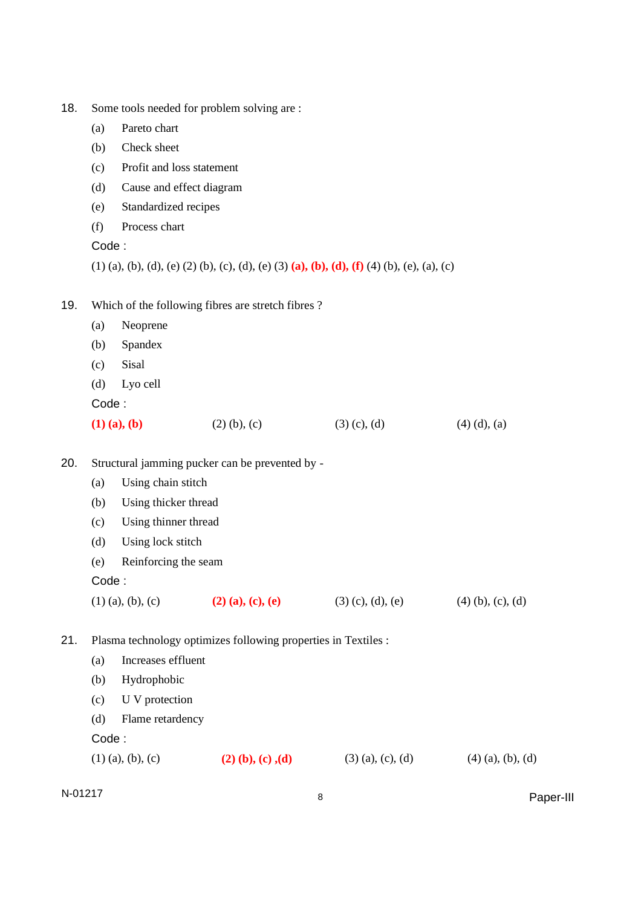| 18. |  |  |  | Some tools needed for problem solving are : |
|-----|--|--|--|---------------------------------------------|
|-----|--|--|--|---------------------------------------------|

- (a) Pareto chart
- (b) Check sheet
- (c) Profit and loss statement
- (d) Cause and effect diagram
- (e) Standardized recipes
- (f) Process chart

(1) (a), (b), (d), (e) (2) (b), (c), (d), (e) (3) **(a), (b), (d), (f)** (4) (b), (e), (a), (c)

- 19. Which of the following fibres are stretch fibres ?
	- (a) Neoprene
	- (b) Spandex
	- (c) Sisal
	- (d) Lyo cell

Code :

| $(1)$ $(a)$ , $(b)$ | $(2)$ (b), (c) | $(3)$ (c), (d) | $(4)$ $(d)$ , $(a)$ |
|---------------------|----------------|----------------|---------------------|
|                     |                |                |                     |

- 20. Structural jamming pucker can be prevented by
	- (a) Using chain stitch
	- (b) Using thicker thread
	- (c) Using thinner thread
	- (d) Using lock stitch
	- (e) Reinforcing the seam
	- Code :
	- (1) (a), (b), (c) **(2) (a), (c), (e)** (3) (c), (d), (e) (4) (b), (c), (d)

21. Plasma technology optimizes following properties in Textiles :

| $(1)$ (a), (b), (c) |                    | $(2)$ (b), (c), (d) | $(3)$ (a), (c), (d) | $(4)$ (a), (b), (d) |
|---------------------|--------------------|---------------------|---------------------|---------------------|
| Code:               |                    |                     |                     |                     |
| (d)                 | Flame retardency   |                     |                     |                     |
| (c)                 | U V protection     |                     |                     |                     |
| (b)                 | Hydrophobic        |                     |                     |                     |
| (a)                 | Increases effluent |                     |                     |                     |

N-01217 and the set of the set of the set of the set of the set of the set of the set of the set of the set of the set of the set of the set of the set of the set of the set of the set of the set of the set of the set of t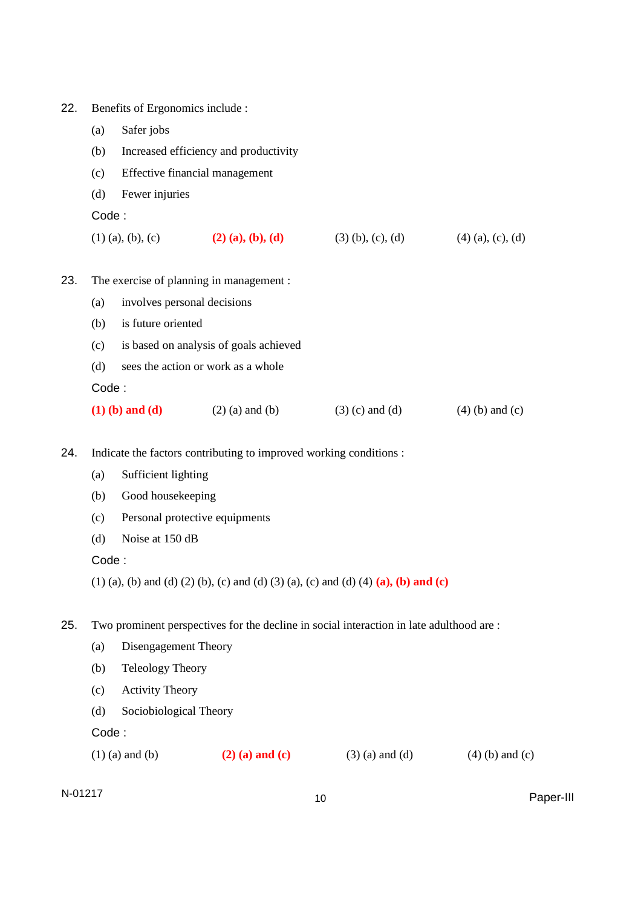| 22. |       | Benefits of Ergonomics include :                                                         |                                                                                     |                     |                     |  |  |  |  |
|-----|-------|------------------------------------------------------------------------------------------|-------------------------------------------------------------------------------------|---------------------|---------------------|--|--|--|--|
|     | (a)   | Safer jobs                                                                               |                                                                                     |                     |                     |  |  |  |  |
|     | (b)   | Increased efficiency and productivity                                                    |                                                                                     |                     |                     |  |  |  |  |
|     | (c)   |                                                                                          | Effective financial management                                                      |                     |                     |  |  |  |  |
|     | (d)   | Fewer injuries                                                                           |                                                                                     |                     |                     |  |  |  |  |
|     | Code: |                                                                                          |                                                                                     |                     |                     |  |  |  |  |
|     |       | $(1)$ (a), (b), (c)                                                                      | $(2)$ (a), (b), (d)                                                                 | $(3)$ (b), (c), (d) | $(4)$ (a), (c), (d) |  |  |  |  |
| 23. |       |                                                                                          | The exercise of planning in management :                                            |                     |                     |  |  |  |  |
|     | (a)   | involves personal decisions                                                              |                                                                                     |                     |                     |  |  |  |  |
|     | (b)   | is future oriented                                                                       |                                                                                     |                     |                     |  |  |  |  |
|     | (c)   |                                                                                          | is based on analysis of goals achieved                                              |                     |                     |  |  |  |  |
|     | (d)   |                                                                                          | sees the action or work as a whole                                                  |                     |                     |  |  |  |  |
|     |       | Code:                                                                                    |                                                                                     |                     |                     |  |  |  |  |
|     |       | $(1)$ (b) and (d)                                                                        | $(2)$ (a) and (b)                                                                   | $(3)$ (c) and (d)   | $(4)$ (b) and (c)   |  |  |  |  |
| 24. |       | Indicate the factors contributing to improved working conditions :                       |                                                                                     |                     |                     |  |  |  |  |
|     | (a)   | Sufficient lighting                                                                      |                                                                                     |                     |                     |  |  |  |  |
|     | (b)   | Good housekeeping                                                                        |                                                                                     |                     |                     |  |  |  |  |
|     | (c)   | Personal protective equipments                                                           |                                                                                     |                     |                     |  |  |  |  |
|     | (d)   | Noise at 150 dB                                                                          |                                                                                     |                     |                     |  |  |  |  |
|     |       | Code:                                                                                    |                                                                                     |                     |                     |  |  |  |  |
|     |       |                                                                                          | (1) (a), (b) and (d) (2) (b), (c) and (d) (3) (a), (c) and (d) (4) (a), (b) and (c) |                     |                     |  |  |  |  |
| 25. |       | Two prominent perspectives for the decline in social interaction in late adulthood are : |                                                                                     |                     |                     |  |  |  |  |
|     | (a)   | Disengagement Theory                                                                     |                                                                                     |                     |                     |  |  |  |  |
|     | (b)   | <b>Teleology Theory</b>                                                                  |                                                                                     |                     |                     |  |  |  |  |
|     | (c)   | <b>Activity Theory</b>                                                                   |                                                                                     |                     |                     |  |  |  |  |
|     | (d)   | Sociobiological Theory                                                                   |                                                                                     |                     |                     |  |  |  |  |
|     | Code: |                                                                                          |                                                                                     |                     |                     |  |  |  |  |
|     |       | $(1)$ (a) and (b)                                                                        | $(2)$ (a) and (c)                                                                   | $(3)$ (a) and (d)   | $(4)$ (b) and (c)   |  |  |  |  |

N-01217 <sup>10</sup> Paper-III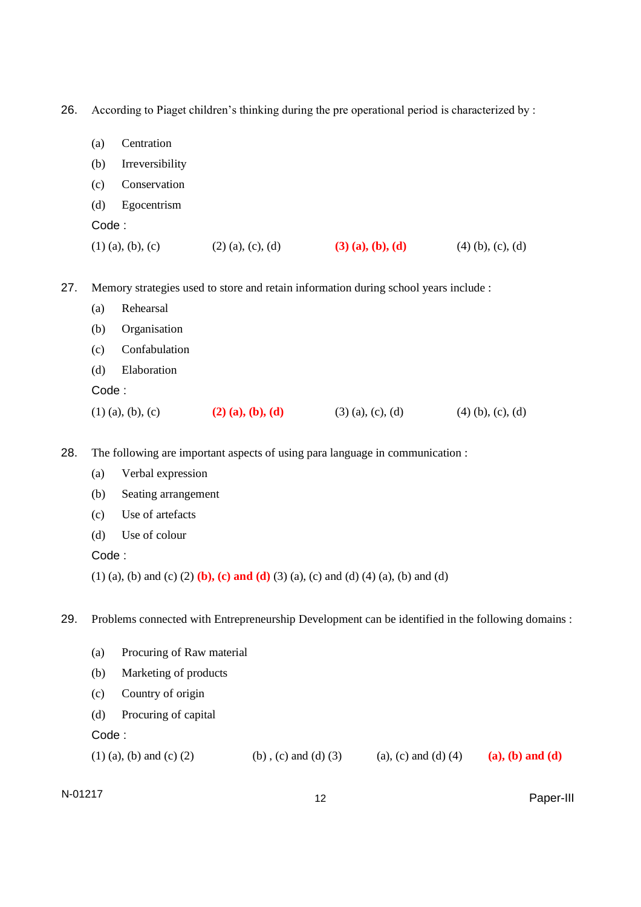26. According to Piaget children's thinking during the pre operational period is characterized by :

| (a)                 | Centration      |                     |                     |                     |
|---------------------|-----------------|---------------------|---------------------|---------------------|
| (b)                 | Irreversibility |                     |                     |                     |
| (c)                 | Conservation    |                     |                     |                     |
| (d)                 | Egocentrism     |                     |                     |                     |
| Code:               |                 |                     |                     |                     |
| $(1)$ (a), (b), (c) |                 | $(2)$ (a), (c), (d) | $(3)$ (a), (b), (d) | $(4)$ (b), (c), (d) |

27. Memory strategies used to store and retain information during school years include :

|       | $(1)$ (a), (b), (c) | $(2)$ (a), (b), (d) | $(3)$ (a), (c), (d) | $(4)$ (b), (c), (d) |
|-------|---------------------|---------------------|---------------------|---------------------|
| Code: |                     |                     |                     |                     |
| (d)   | Elaboration         |                     |                     |                     |
| (c)   | Confabulation       |                     |                     |                     |
| (b)   | Organisation        |                     |                     |                     |
| (a)   | Rehearsal           |                     |                     |                     |

28. The following are important aspects of using para language in communication :

- (a) Verbal expression
- (b) Seating arrangement
- (c) Use of artefacts
- (d) Use of colour

Code :

(1) (a), (b) and (c) (2) **(b), (c) and (d)** (3) (a), (c) and (d) (4) (a), (b) and (d)

29. Problems connected with Entrepreneurship Development can be identified in the following domains :

|       | $(1)$ (a), (b) and (c) (2) | (b), (c) and (d) $(3)$ | (a), (c) and (d) $(4)$ | $(a), (b)$ and $(d)$ |
|-------|----------------------------|------------------------|------------------------|----------------------|
| Code: |                            |                        |                        |                      |
| (d)   | Procuring of capital       |                        |                        |                      |
| (c)   | Country of origin          |                        |                        |                      |
| (b)   | Marketing of products      |                        |                        |                      |
| (a)   | Procuring of Raw material  |                        |                        |                      |
|       |                            |                        |                        |                      |

N-01217 <sup>12</sup> Paper-III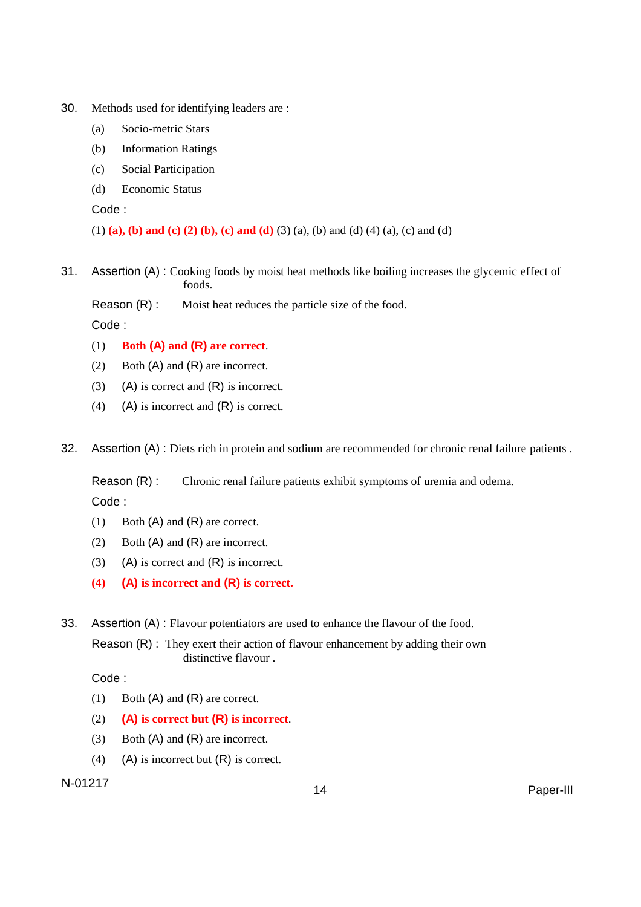- 30. Methods used for identifying leaders are :
	- (a) Socio-metric Stars
	- (b) Information Ratings
	- (c) Social Participation
	- (d) Economic Status

(1) **(a), (b) and (c) (2) (b), (c) and (d)** (3) (a), (b) and (d) (4) (a), (c) and (d)

- 31. Assertion (A) : Cooking foods by moist heat methods like boiling increases the glycemic effect of foods.
	- Reason (R) : Moist heat reduces the particle size of the food.

Code :

- (1) **Both (A) and (R) are correct**.
- (2) Both (A) and (R) are incorrect.
- (3) (A) is correct and  $(R)$  is incorrect.
- (4) (A) is incorrect and (R) is correct.
- 32. Assertion (A) : Diets rich in protein and sodium are recommended for chronic renal failure patients.

Reason (R) : Chronic renal failure patients exhibit symptoms of uremia and odema.

Code :

- (1) Both (A) and (R) are correct.
- (2) Both (A) and (R) are incorrect.
- (3) (A) is correct and  $(R)$  is incorrect.
- **(4) (A) is incorrect and (R) is correct.**
- 33. Assertion (A) : Flavour potentiators are used to enhance the flavour of the food.

Reason (R) : They exert their action of flavour enhancement by adding their own distinctive flavour .

Code :

- (1) Both (A) and (R) are correct.
- (2) **(A) is correct but (R) is incorrect**.
- (3) Both (A) and (R) are incorrect.
- (4) (A) is incorrect but  $(R)$  is correct.

## N-01217 <sup>14</sup> Paper-III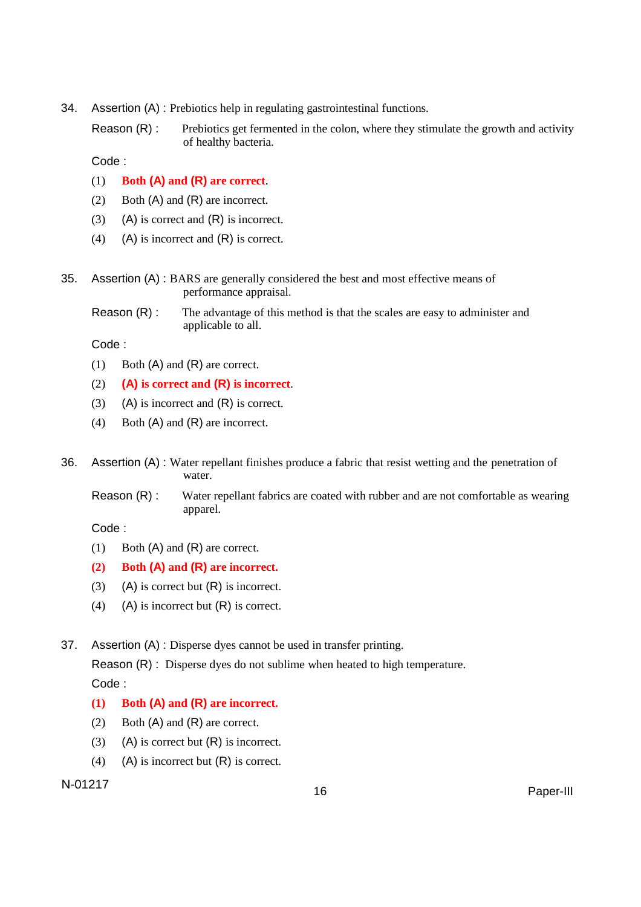- 34. Assertion (A) : Prebiotics help in regulating gastrointestinal functions.
	- Reason (R) : Prebiotics get fermented in the colon, where they stimulate the growth and activity of healthy bacteria.

- (1) **Both (A) and (R) are correct**.
- (2) Both (A) and (R) are incorrect.
- (3) (A) is correct and (R) is incorrect.
- (4) (A) is incorrect and  $(R)$  is correct.
- 35. Assertion (A) : BARS are generally considered the best and most effective means of performance appraisal.
	- Reason (R) : The advantage of this method is that the scales are easy to administer and applicable to all.

Code :

- (1) Both (A) and (R) are correct.
- (2) **(A) is correct and (R) is incorrect**.
- (3) (A) is incorrect and  $(R)$  is correct.
- (4) Both (A) and (R) are incorrect.
- 36. Assertion (A) : Water repellant finishes produce a fabric that resist wetting and the penetration of water.
	- Reason (R) : Water repellant fabrics are coated with rubber and are not comfortable as wearing apparel.

Code :

(1) Both (A) and (R) are correct.

## **(2) Both (A) and (R) are incorrect.**

- (3) (A) is correct but  $(R)$  is incorrect.
- (4) (A) is incorrect but  $(R)$  is correct.

37. Assertion (A) : Disperse dyes cannot be used in transfer printing.

Reason (R) : Disperse dyes do not sublime when heated to high temperature. Code :

## **(1) Both (A) and (R) are incorrect.**

- (2) Both (A) and (R) are correct.
- (3) (A) is correct but  $(R)$  is incorrect.
- (4) (A) is incorrect but (R) is correct.

# N-01217<br>16 Paper-III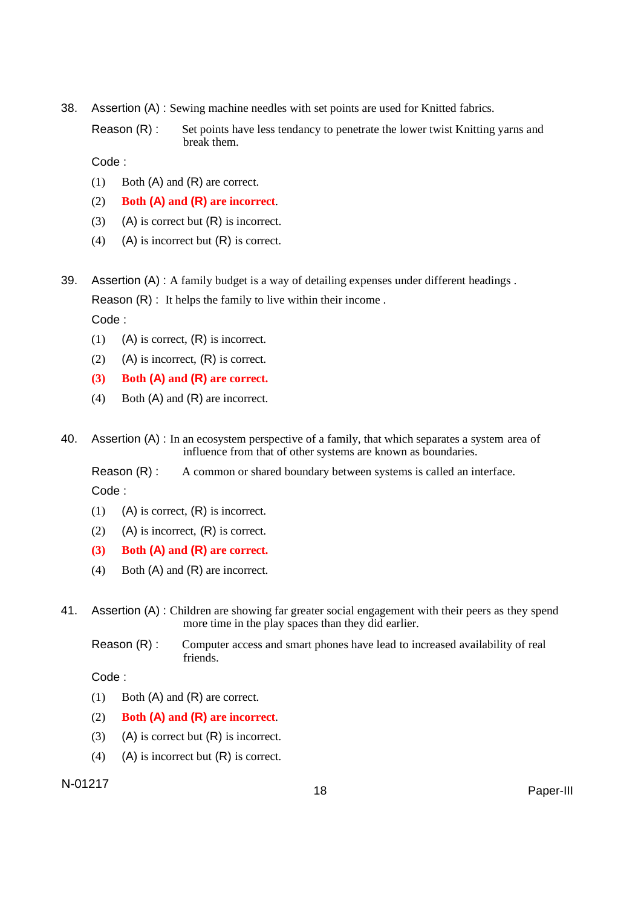- 38. Assertion (A) : Sewing machine needles with set points are used for Knitted fabrics.
	- Reason (R) : Set points have less tendancy to penetrate the lower twist Knitting yarns and break them.

- (1) Both (A) and (R) are correct.
- (2) **Both (A) and (R) are incorrect**.
- (3) (A) is correct but  $(R)$  is incorrect.
- (4) (A) is incorrect but  $(R)$  is correct.
- 39. Assertion (A) : A family budget is a way of detailing expenses under different headings . Reason (R) : It helps the family to live within their income .

Code :

- (1) (A) is correct,  $(R)$  is incorrect.
- (2) (A) is incorrect,  $(R)$  is correct.
- **(3) Both (A) and (R) are correct.**
- (4) Both (A) and (R) are incorrect.
- 40. Assertion (A) : In an ecosystem perspective of a family, that which separates a system area of influence from that of other systems are known as boundaries.

Reason (R) : A common or shared boundary between systems is called an interface.

Code :

- (1) (A) is correct,  $(R)$  is incorrect.
- (2) (A) is incorrect,  $(R)$  is correct.
- **(3) Both (A) and (R) are correct.**
- (4) Both (A) and (R) are incorrect.
- 41. Assertion (A) : Children are showing far greater social engagement with their peers as they spend more time in the play spaces than they did earlier.
	- Reason (R) : Computer access and smart phones have lead to increased availability of real friends.

Code :

- (1) Both (A) and (R) are correct.
- (2) **Both (A) and (R) are incorrect**.
- (3) (A) is correct but  $(R)$  is incorrect.
- (4) (A) is incorrect but  $(R)$  is correct.

## N-01217<br>18 Paper-III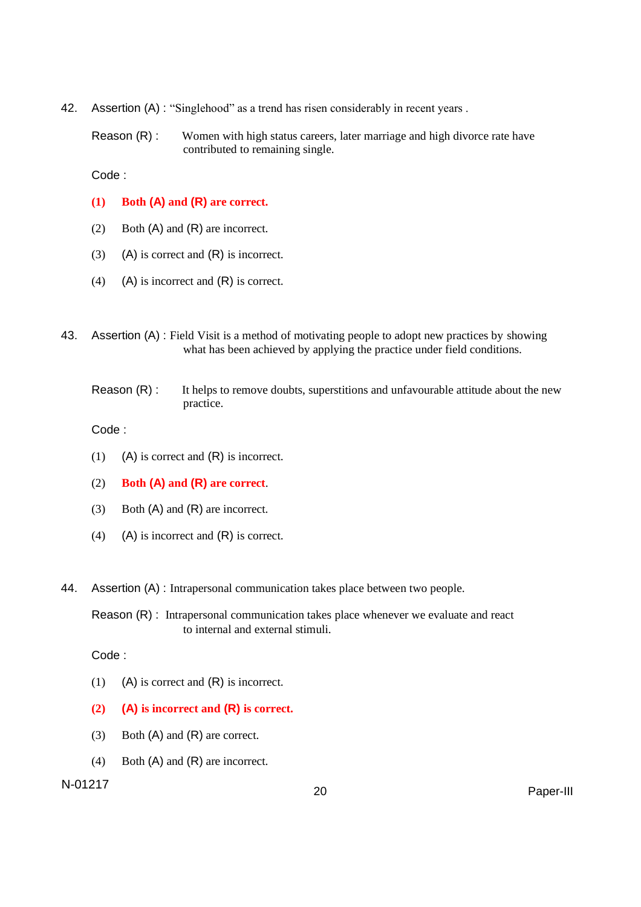42. Assertion (A) : "Singlehood" as a trend has risen considerably in recent years.

Reason (R) : Women with high status careers, later marriage and high divorce rate have contributed to remaining single.

Code :

- **(1) Both (A) and (R) are correct.**
- (2) Both (A) and (R) are incorrect.
- (3) (A) is correct and  $(R)$  is incorrect.
- (4) (A) is incorrect and (R) is correct.
- 43. Assertion (A) : Field Visit is a method of motivating people to adopt new practices by showing what has been achieved by applying the practice under field conditions.
	- Reason (R) : It helps to remove doubts, superstitions and unfavourable attitude about the new practice.

Code :

- (1) (A) is correct and (R) is incorrect.
- (2) **Both (A) and (R) are correct**.
- (3) Both (A) and (R) are incorrect.
- (4) (A) is incorrect and  $(R)$  is correct.
- 44. Assertion (A) : Intrapersonal communication takes place between two people.

Reason (R) : Intrapersonal communication takes place whenever we evaluate and react to internal and external stimuli.

Code :

- (1) (A) is correct and  $(R)$  is incorrect.
- **(2) (A) is incorrect and (R) is correct.**
- (3) Both (A) and (R) are correct.
- (4) Both (A) and (R) are incorrect.

N-01217 <sup>20</sup> Paper-III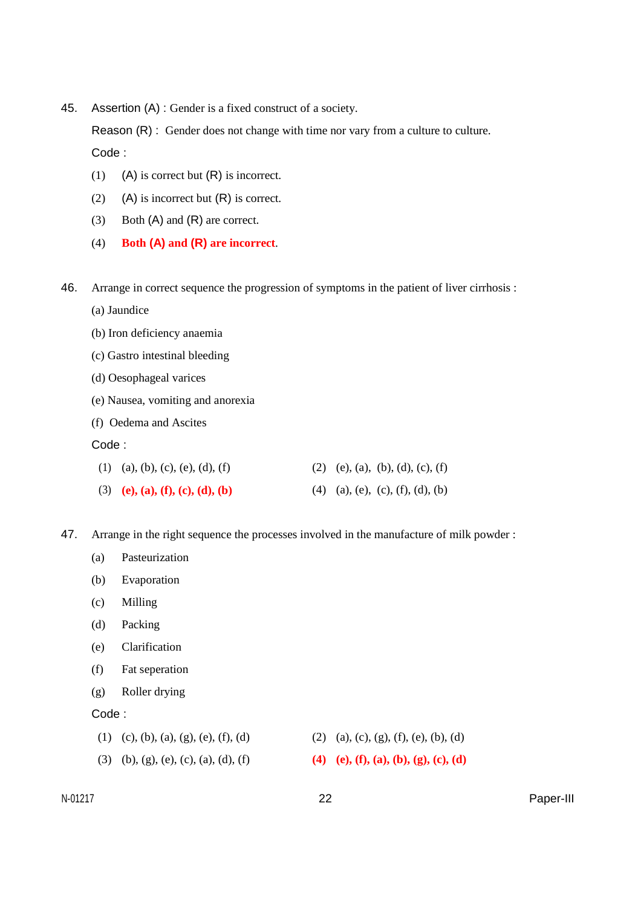45. Assertion (A) : Gender is a fixed construct of a society.

Reason (R) : Gender does not change with time nor vary from a culture to culture. Code :

- (1) (A) is correct but  $(R)$  is incorrect.
- (2) (A) is incorrect but  $(R)$  is correct.
- (3) Both (A) and (R) are correct.
- (4) **Both (A) and (R) are incorrect**.
- 46. Arrange in correct sequence the progression of symptoms in the patient of liver cirrhosis :
	- (a) Jaundice
	- (b) Iron deficiency anaemia
	- (c) Gastro intestinal bleeding
	- (d) Oesophageal varices
	- (e) Nausea, vomiting and anorexia
	- (f) Oedema and Ascites

Code :

| $(1)$ (a), (b), (c), (e), (d), (f) | (2) (e), (a), (b), (d), (c), (f) |
|------------------------------------|----------------------------------|
| (3) (e), (a), (f), (c), (d), (b)   | (4) (a), (e), (c), (f), (d), (b) |

- 47. Arrange in the right sequence the processes involved in the manufacture of milk powder :
	- (a) Pasteurization
	- (b) Evaporation
	- (c) Milling
	- (d) Packing
	- (e) Clarification
	- (f) Fat seperation
	- (g) Roller drying
	- Code :

| $(1)$ (c), (b), (a), (g), (e), (f), (d) | (2) (a), (c), (g), (f), (e), (b), (d) |
|-----------------------------------------|---------------------------------------|
| (3) (b), (g), (e), (c), (a), (d), (f)   | (4) (e), (f), (a), (b), (g), (c), (d) |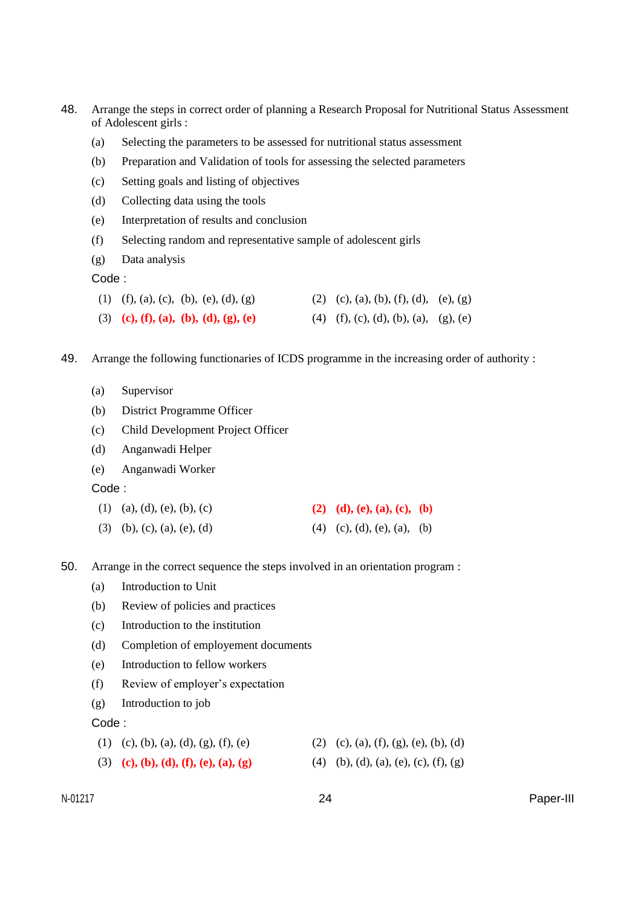| 48. | Arrange the steps in correct order of planning a Research Proposal for Nutritional Status Assessment<br>of Adolescent girls: |                                                                                              |     |                                       |  |  |  |  |  |
|-----|------------------------------------------------------------------------------------------------------------------------------|----------------------------------------------------------------------------------------------|-----|---------------------------------------|--|--|--|--|--|
|     | (a)                                                                                                                          | Selecting the parameters to be assessed for nutritional status assessment                    |     |                                       |  |  |  |  |  |
|     | (b)                                                                                                                          | Preparation and Validation of tools for assessing the selected parameters                    |     |                                       |  |  |  |  |  |
|     | (c)                                                                                                                          | Setting goals and listing of objectives                                                      |     |                                       |  |  |  |  |  |
|     | (d)                                                                                                                          | Collecting data using the tools                                                              |     |                                       |  |  |  |  |  |
|     | (e)                                                                                                                          | Interpretation of results and conclusion                                                     |     |                                       |  |  |  |  |  |
|     | (f)                                                                                                                          | Selecting random and representative sample of adolescent girls                               |     |                                       |  |  |  |  |  |
|     | (g)                                                                                                                          | Data analysis                                                                                |     |                                       |  |  |  |  |  |
|     | Code:                                                                                                                        |                                                                                              |     |                                       |  |  |  |  |  |
|     |                                                                                                                              | (1) (f), (a), (c), (b), (e), (d), (g)                                                        |     | (2) (c), (a), (b), (f), (d), (e), (g) |  |  |  |  |  |
|     |                                                                                                                              | (3) (c), (f), (a), (b), (d), (g), (e)                                                        |     | (4) (f), (c), (d), (b), (a), (g), (e) |  |  |  |  |  |
| 49. |                                                                                                                              | Arrange the following functionaries of ICDS programme in the increasing order of authority : |     |                                       |  |  |  |  |  |
|     | (a)                                                                                                                          | Supervisor                                                                                   |     |                                       |  |  |  |  |  |
|     | (b)                                                                                                                          | District Programme Officer                                                                   |     |                                       |  |  |  |  |  |
|     | (c)                                                                                                                          | Child Development Project Officer                                                            |     |                                       |  |  |  |  |  |
|     | (d)                                                                                                                          | Anganwadi Helper                                                                             |     |                                       |  |  |  |  |  |
|     | (e)                                                                                                                          | Anganwadi Worker                                                                             |     |                                       |  |  |  |  |  |
|     | Code:                                                                                                                        |                                                                                              |     |                                       |  |  |  |  |  |
|     | (1)                                                                                                                          | (a), (d), (e), (b), (c)                                                                      |     | (2) (d), (e), (a), (c), (b)           |  |  |  |  |  |
|     |                                                                                                                              | $(3)$ (b), (c), (a), (e), (d)                                                                |     | (4) (c), (d), (e), (a), (b)           |  |  |  |  |  |
| 50. | Arrange in the correct sequence the steps involved in an orientation program :                                               |                                                                                              |     |                                       |  |  |  |  |  |
|     |                                                                                                                              | (a) Introduction to Unit                                                                     |     |                                       |  |  |  |  |  |
|     | (b)                                                                                                                          | Review of policies and practices                                                             |     |                                       |  |  |  |  |  |
|     | (c)                                                                                                                          | Introduction to the institution                                                              |     |                                       |  |  |  |  |  |
|     | (d)                                                                                                                          | Completion of employement documents                                                          |     |                                       |  |  |  |  |  |
|     | (e)                                                                                                                          | Introduction to fellow workers                                                               |     |                                       |  |  |  |  |  |
|     | (f)                                                                                                                          | Review of employer's expectation                                                             |     |                                       |  |  |  |  |  |
|     | (g)                                                                                                                          | Introduction to job                                                                          |     |                                       |  |  |  |  |  |
|     | Code:                                                                                                                        |                                                                                              |     |                                       |  |  |  |  |  |
|     | (1)                                                                                                                          | (c), (b), (a), (d), (g), (f), (e)                                                            | (2) | (c), (a), (f), (g), (e), (b), (d)     |  |  |  |  |  |
|     | (3)                                                                                                                          | (c), (b), (d), (f), (e), (a), (g)                                                            | (4) | (b), (d), (a), (e), (c), (f), (g)     |  |  |  |  |  |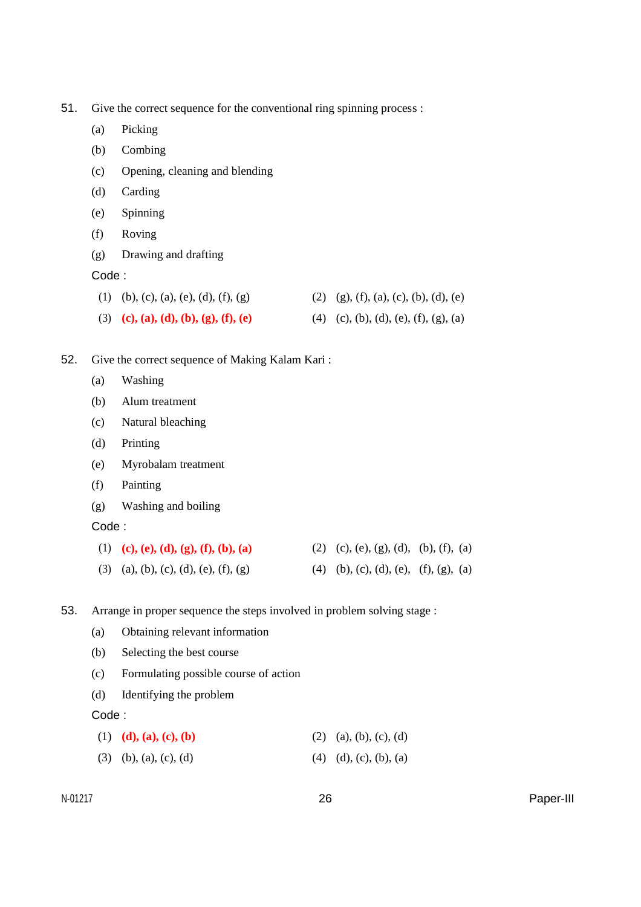51. Give the correct sequence for the conventional ring spinning process :

- (a) Picking
- (b) Combing
- (c) Opening, cleaning and blending
- (d) Carding
- (e) Spinning
- (f) Roving
- (g) Drawing and drafting
- Code :

| (1) (b), (c), (a), (e), (d), (f), (g) | $(2)$ (g), (f), (a), (c), (b), (d), (e) |
|---------------------------------------|-----------------------------------------|
| (3) (c), (a), (d), (b), (g), (f), (e) | (4) (c), (b), (d), (e), (f), (g), (a)   |

## 52. Give the correct sequence of Making Kalam Kari :

- (a) Washing
- (b) Alum treatment
- (c) Natural bleaching
- (d) Printing
- (e) Myrobalam treatment
- (f) Painting
- (g) Washing and boiling

Code :

| (1) (c), (e), (d), (g), (f), (b), (a) | (2) (c), (e), (g), (d), (b), (f), (a) |  |
|---------------------------------------|---------------------------------------|--|
|                                       |                                       |  |

- (3) (a), (b), (c), (d), (e), (f), (g) (4) (b), (c), (d), (e), (f), (g), (a)
- 53. Arrange in proper sequence the steps involved in problem solving stage :
	- (a) Obtaining relevant information
	- (b) Selecting the best course
	- (c) Formulating possible course of action
	- (d) Identifying the problem

Code :

| (1) (d), (a), (c), (b)        | $(2)$ (a), (b), (c), (d)                                                                       |
|-------------------------------|------------------------------------------------------------------------------------------------|
| $(2)$ $(1)$ $(2)$ $(3)$ $(4)$ | $\left( 1 \right)$ $\left( 1 \right)$ $\left( 1 \right)$ $\left( 1 \right)$ $\left( 1 \right)$ |

(3) (b), (a), (c), (d) (4) (d), (c), (b), (a)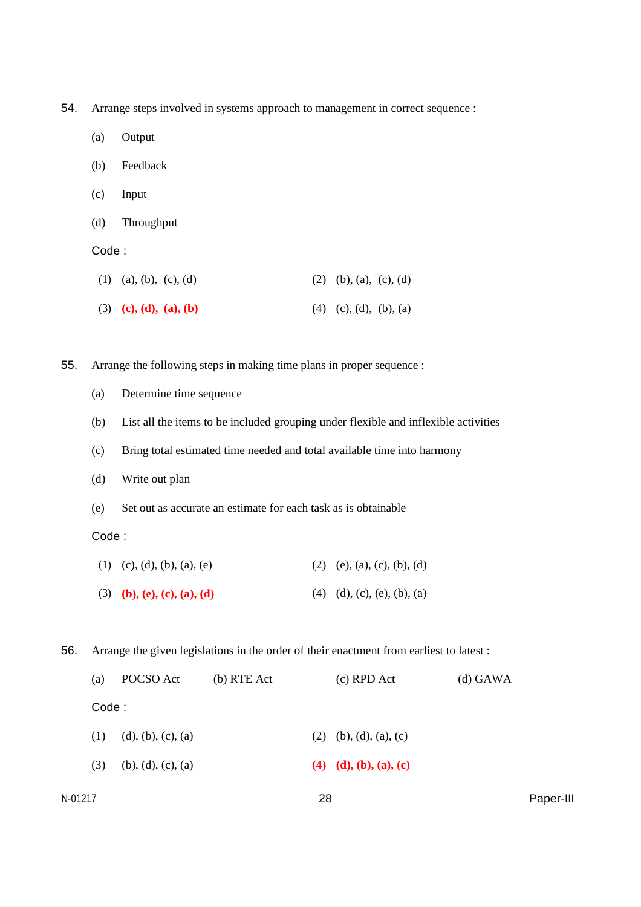54. Arrange steps involved in systems approach to management in correct sequence :

- (a) Output
- (b) Feedback
- (c) Input
- (d) Throughput

#### Code :

| $(1)$ (a), (b), (c), (d) | $(2)$ (b), (a), (c), (d) |
|--------------------------|--------------------------|
| (3) (c), (d), (a), (b)   | $(4)$ (c), (d), (b), (a) |

55. Arrange the following steps in making time plans in proper sequence :

- (a) Determine time sequence
- (b) List all the items to be included grouping under flexible and inflexible activities
- (c) Bring total estimated time needed and total available time into harmony
- (d) Write out plan
- (e) Set out as accurate an estimate for each task as is obtainable

### Code :

| (1) (c), (d), (b), (a), (e) | $(2)$ (e), (a), (c), (b), (d)               |
|-----------------------------|---------------------------------------------|
| (3) (b), (e), (c), (a), (d) | $(4)$ $(d)$ , $(c)$ , $(e)$ , $(b)$ , $(a)$ |

56. Arrange the given legislations in the order of their enactment from earliest to latest :

|         | (a)   | POCSO Act          | $(b)$ RTE Act |    | $(c)$ RPD Act            | $(d)$ GAWA |           |
|---------|-------|--------------------|---------------|----|--------------------------|------------|-----------|
|         | Code: |                    |               |    |                          |            |           |
|         | (1)   | (d), (b), (c), (a) |               |    | $(2)$ (b), (d), (a), (c) |            |           |
|         | (3)   | (b), (d), (c), (a) |               |    | (4) (d), (b), (a), (c)   |            |           |
| N-01217 |       |                    |               | 28 |                          |            | Paper-III |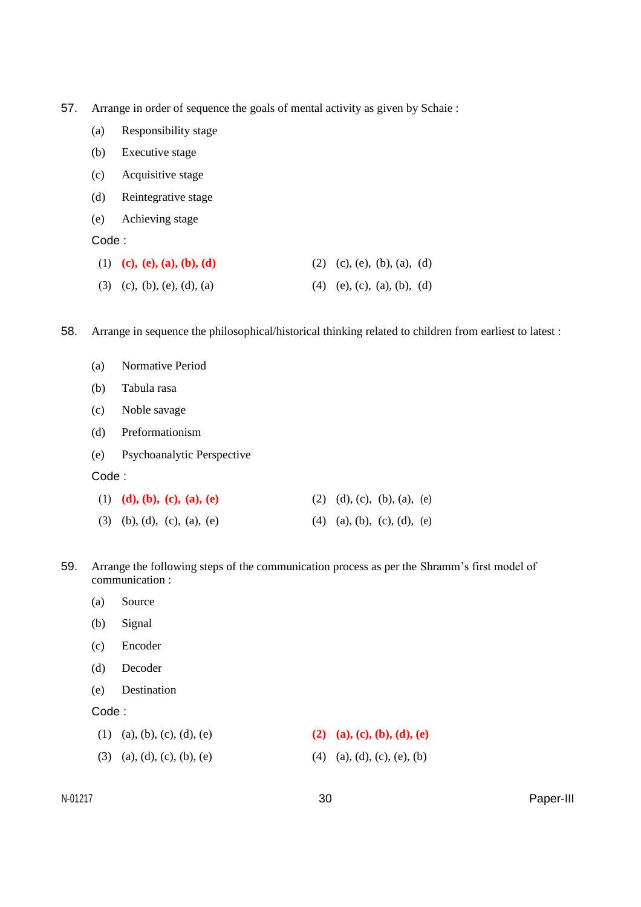- 57. Arrange in order of sequence the goals of mental activity as given by Schaie :
	- (a) Responsibility stage
	- (b) Executive stage
	- (c) Acquisitive stage
	- (d) Reintegrative stage
	- (e) Achieving stage

| (1) (c), (e), (a), (b), (d)   | (2) (c), (e), (b), (a), (d)   |  |
|-------------------------------|-------------------------------|--|
| $(3)$ (c), (b), (e), (d), (a) | $(4)$ (e), (c), (a), (b), (d) |  |

58. Arrange in sequence the philosophical/historical thinking related to children from earliest to latest :

| (a) | Normative Period |  |
|-----|------------------|--|
|     |                  |  |

- (b) Tabula rasa
- (c) Noble savage
- (d) Preformationism
- (e) Psychoanalytic Perspective

#### Code :

| (1) (d), (b), (c), (a), (e)   | (2) (d), (c), (b), (a), (e) |  |
|-------------------------------|-----------------------------|--|
| $(3)$ (b), (d), (c), (a), (e) | (4) (a), (b), (c), (d), (e) |  |

59. Arrange the following steps of the communication process as per the Shramm's first model of communication :

- (a) Source
- (b) Signal
- (c) Encoder
- (d) Decoder
- (e) Destination

#### Code :

| $(1)$ (a), (b), (c), (d), (e) | (2) (a), (c), (b), (d), (e) |
|-------------------------------|-----------------------------|
| $(3)$ (a), (d), (c), (b), (e) | (4) (a), (d), (c), (e), (b) |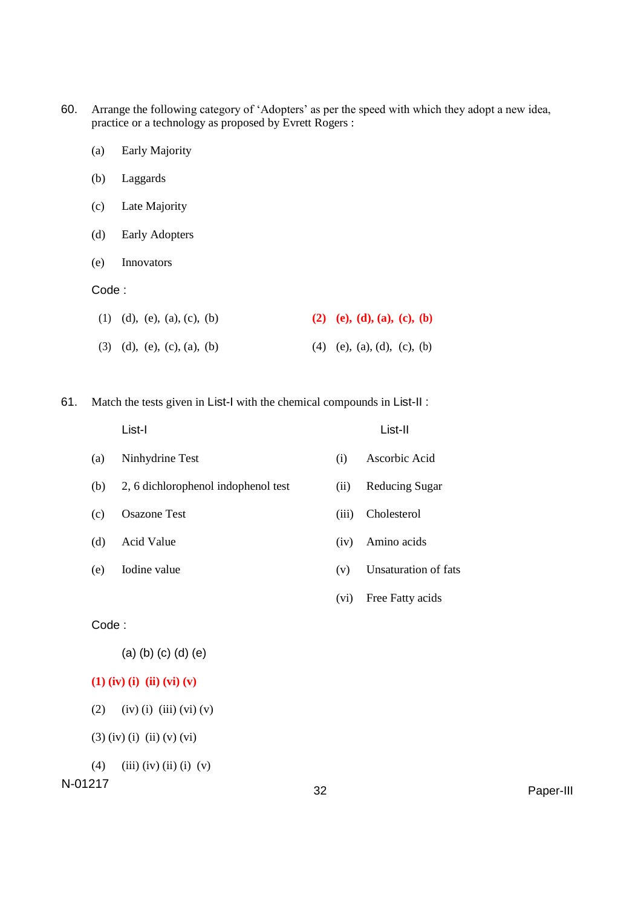- 60. Arrange the following category of 'Adopters' as per the speed with which they adopt a new idea, practice or a technology as proposed by Evrett Rogers :
	- (a) Early Majority
	- (b) Laggards
	- (c) Late Majority
	- (d) Early Adopters
	- (e) Innovators

| (1) (d), (e), (a), (c), (b)                 | (2) (e), (d), (a), (c), (b)   |
|---------------------------------------------|-------------------------------|
| $(3)$ $(d)$ , $(e)$ , $(c)$ , $(a)$ , $(b)$ | $(4)$ (e), (a), (d), (c), (b) |

61. Match the tests given in List-I with the chemical compounds in List-II :

|       | List-I                              |       | List-II                     |
|-------|-------------------------------------|-------|-----------------------------|
| (a)   | Ninhydrine Test                     | (i)   | Ascorbic Acid               |
| (b)   | 2, 6 dichlorophenol indophenol test | (ii)  | <b>Reducing Sugar</b>       |
| (c)   | <b>Osazone Test</b>                 | (iii) | Cholesterol                 |
| (d)   | Acid Value                          | (iv)  | Amino acids                 |
| (e)   | Iodine value                        | (v)   | <b>Unsaturation of fats</b> |
|       |                                     | (vi)  | Free Fatty acids            |
| Code: |                                     |       |                             |
|       |                                     |       |                             |

(a) (b) (c) (d) (e)

- **(1) (iv) (i) (ii) (vi) (v)**
- (2) (iv) (i) (iii) (vi) (v)

(3) (iv) (i) (ii) (v) (vi)

(4) (iii) (iv) (ii) (i) (v)

N-01217 <sup>32</sup> Paper-III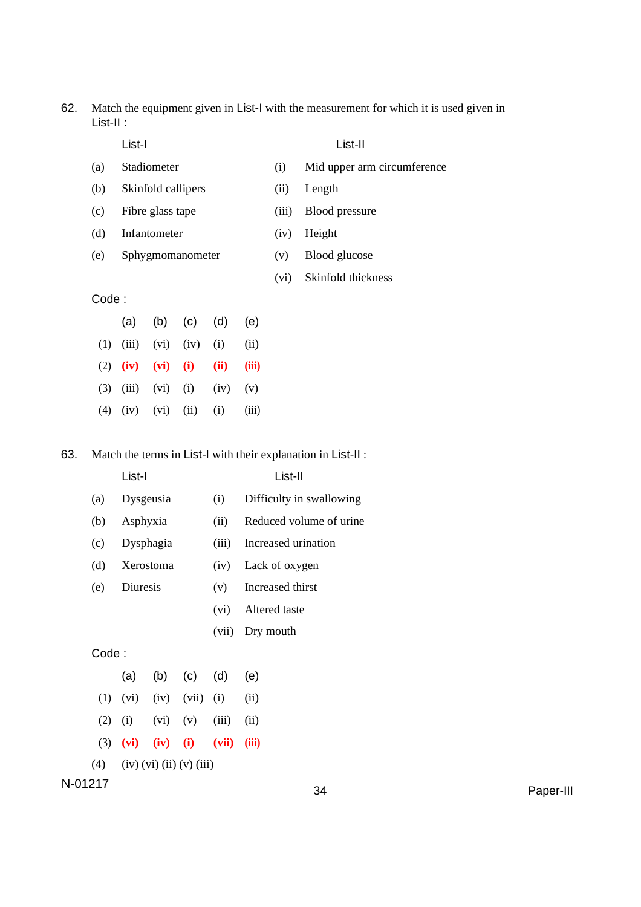62. Match the equipment given in List-I with the measurement for which it is used given in List-II :

- 
- (a) Stadiometer (i) Mid upper arm circumference
- List-I List-II
- (b) Skinfold callipers (ii) Length
- (c) Fibre glass tape (iii) Blood pressure
- (d) Infantometer (iv) Height
- (e) Sphygmomanometer (v) Blood glucose
- -
	- (vi) Skinfold thickness

## Code :

|  |  | (a) (b) (c) (d) (e)                      |  |
|--|--|------------------------------------------|--|
|  |  | (1) $(iii)$ $(vi)$ $(iv)$ $(i)$ $(ii)$   |  |
|  |  | (2) $(iv)$ $(vi)$ $(i)$ $(ii)$ $(iii)$   |  |
|  |  | (3) (iii) (vi) (i) (iv) (v)              |  |
|  |  | $(4)$ $(iv)$ $(vi)$ $(ii)$ $(i)$ $(iii)$ |  |

63. Match the terms in List-I with their explanation in List-II :

List-I List-II

| (a) | Dysgeusia | (i)   | Difficulty in swallowing |
|-----|-----------|-------|--------------------------|
| (b) | Asphyxia  | (ii)  | Reduced volume of urine  |
| (c) | Dysphagia | (iii) | Increased urination      |
| (d) | Xerostoma | (iv)  | Lack of oxygen           |
| (e) | Diuresis  | (v)   | Increased thirst         |
|     |           | (vi)  | Altered taste            |
|     |           | (vii) | Dry mouth                |
|     |           |       |                          |

Code :

| (4) (iv) (vi) (ii) (v) (iii) |  |                                          |  |  |  |  |
|------------------------------|--|------------------------------------------|--|--|--|--|
|                              |  | (3) (vi) (iv) (i) (vii) (iii)            |  |  |  |  |
|                              |  | $(2)$ $(i)$ $(vi)$ $(v)$ $(iii)$ $(ii)$  |  |  |  |  |
|                              |  | $(1)$ $(vi)$ $(iv)$ $(vii)$ $(i)$ $(ii)$ |  |  |  |  |
|                              |  | (a) (b) (c) (d) (e)                      |  |  |  |  |

N-01217 <sup>34</sup> Paper-III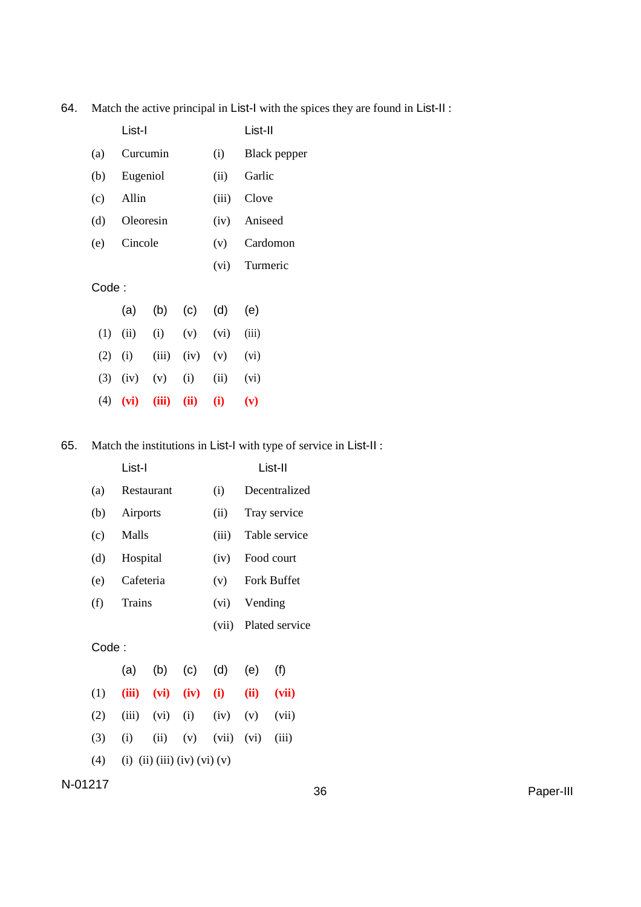|       | List-I    |       | List-II |       |              |  |
|-------|-----------|-------|---------|-------|--------------|--|
| (a)   | Curcumin  |       |         | (i)   | Black pepper |  |
| (b)   | Eugeniol  |       |         | (ii)  | Garlic       |  |
| (c)   | Allin     |       |         | (iii) | Clove        |  |
| (d)   | Oleoresin |       |         | (iv)  | Aniseed      |  |
| (e)   | Cincole   |       |         | (v)   | Cardomon     |  |
|       |           |       |         | (vi)  | Turmeric     |  |
| Code: |           |       |         |       |              |  |
|       | (a)       | (b)   | (c)     | (d)   | (e)          |  |
| (1)   | (ii)      | (i)   | (v)     | (vi)  | (iii)        |  |
| (2)   | (i)       | (iii) | (iv)    | (v)   | (vi)         |  |
| (3)   | (iv)      | (v)   | (i)     | (ii)  | (vi)         |  |
| (4)   | (vi)      | (iii) | (ii)    | (i)   | (v)          |  |

64. Match the active principal in List-I with the spices they are found in List-II :

65. Match the institutions in List-I with type of service in List-II :

|         |       | List-I    |            |                              |       |             | List-II        |    |
|---------|-------|-----------|------------|------------------------------|-------|-------------|----------------|----|
|         | (a)   |           | Restaurant |                              | (i)   |             | Decentralized  |    |
|         | (b)   | Airports  |            |                              | (ii)  |             | Tray service   |    |
|         | (c)   | Malls     |            |                              | (iii) |             | Table service  |    |
|         | (d)   | Hospital  |            |                              | (iv)  |             | Food court     |    |
|         | (e)   | Cafeteria |            | (v)                          |       | Fork Buffet |                |    |
|         | (f)   | Trains    |            |                              | (vi)  | Vending     |                |    |
|         |       |           |            |                              | (vii) |             | Plated service |    |
|         | Code: |           |            |                              |       |             |                |    |
|         |       | (a)       | (b)        | (c)                          | (d)   | (e)         | (f)            |    |
|         | (1)   | (iii)     | (vi)       | (iv)                         | (i)   | (ii)        | (vii)          |    |
|         | (2)   | (iii)     | (vi)       | (i)                          | (iv)  | (v)         | (vii)          |    |
|         | (3)   | (i)       | (ii)       | (v)                          | (vii) | (vi)        | (iii)          |    |
|         | (4)   |           |            | (i) (ii) (iii) (iv) (vi) (v) |       |             |                |    |
| N-01217 |       |           |            |                              |       |             |                | 36 |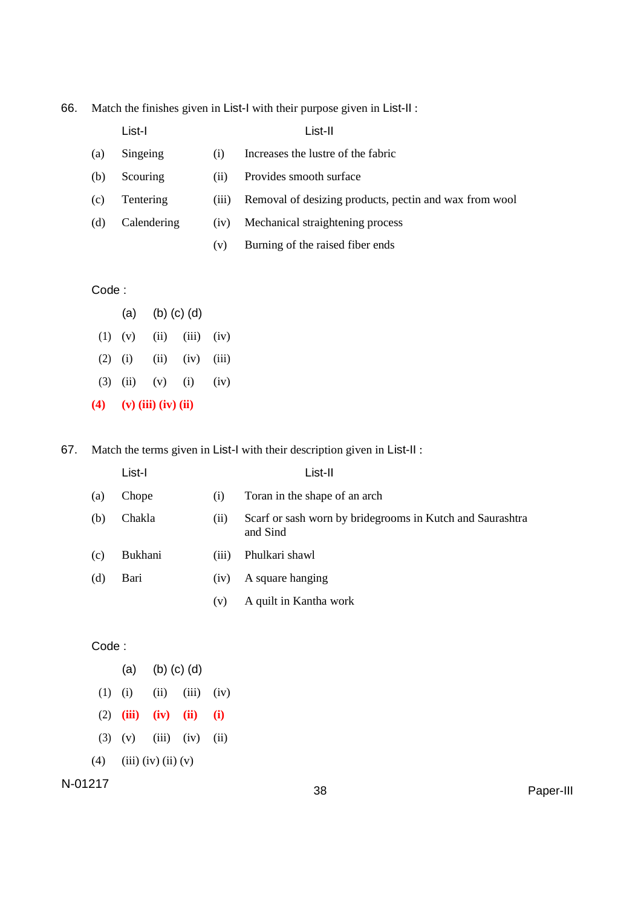| 66. |  |  |  | Match the finishes given in List-I with their purpose given in List-II : |
|-----|--|--|--|--------------------------------------------------------------------------|
|-----|--|--|--|--------------------------------------------------------------------------|

|     | List-I      |       | List-II                                                |
|-----|-------------|-------|--------------------------------------------------------|
| (a) | Singeing    | (1)   | Increases the lustre of the fabric                     |
| (b) | Scouring    | (11)  | Provides smooth surface                                |
| (c) | Tentering   | (111) | Removal of desizing products, pectin and wax from wool |
| (d) | Calendering | (iv)  | Mechanical straightening process                       |
|     |             | (v)   | Burning of the raised fiber ends                       |
|     |             |       |                                                        |

| (4)         | $(v)$ (iii) (iv) (ii) |           |                   |      |  |
|-------------|-----------------------|-----------|-------------------|------|--|
|             | $(3)$ $(ii)$          | $(v)$ (i) |                   | (iv) |  |
| $(2)$ $(i)$ |                       | (i)       | $(iv)$ $(iii)$    |      |  |
|             | $(1)$ $(v)$           | (ii)      | $(iii)$ $(iv)$    |      |  |
|             | (a)                   |           | $(b)$ $(c)$ $(d)$ |      |  |

67. Match the terms given in List-I with their description given in List-II :

|     | List-I  |       | List-II                                                               |
|-----|---------|-------|-----------------------------------------------------------------------|
| (a) | Chope   | (i)   | Toran in the shape of an arch                                         |
| (b) | Chakla  | (i)   | Scarf or sash worn by bridegrooms in Kutch and Saurashtra<br>and Sind |
| (c) | Bukhani | (iii) | Phulkari shawl                                                        |
| (d) | Bari    | (iv)  | A square hanging                                                      |
|     |         | (v)   | A quilt in Kantha work                                                |

Code :

|           |                           | (a) (b) (c) (d) |                             |  |  |  |
|-----------|---------------------------|-----------------|-----------------------------|--|--|--|
| $(1)$ (i) |                           |                 | $(ii)$ $(iii)$ $(iv)$       |  |  |  |
|           |                           |                 | (2) (iii) (iv) (ii) (i)     |  |  |  |
|           |                           |                 | $(3)$ (v) $(iii)$ (iv) (ii) |  |  |  |
|           | $(4)$ (iii) (iv) (ii) (v) |                 |                             |  |  |  |

N-01217 <sup>38</sup> Paper-III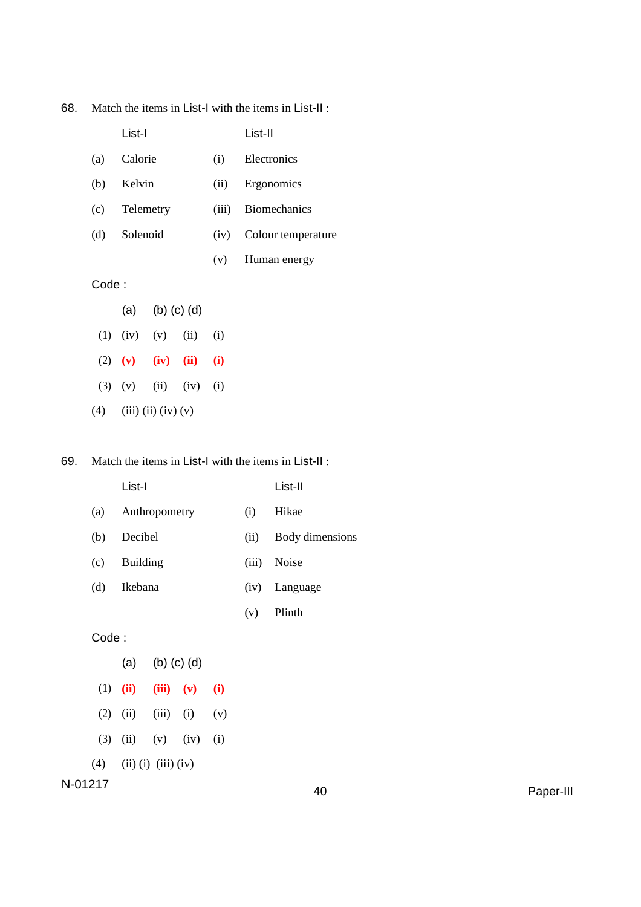| 68.<br>Match the items in List-I with the items in List-II: |
|-------------------------------------------------------------|
|-------------------------------------------------------------|

|       | List-I    |                           |      |       | List-II             |
|-------|-----------|---------------------------|------|-------|---------------------|
| (a)   | Calorie   |                           |      | (i)   | Electronics         |
| (b)   |           | Kelvin                    |      |       | Ergonomics          |
| (c)   | Telemetry |                           |      | (iii) | <b>Biomechanics</b> |
| (d)   | Solenoid  |                           |      | (iv)  | Colour temperature  |
|       |           |                           |      | (v)   | Human energy        |
| Code: |           |                           |      |       |                     |
|       |           | (a) (b) (c) (d)           |      |       |                     |
|       |           | $(1)$ $(iv)$ $(v)$ $(ii)$ |      | (i)   |                     |
| (2)   | (v)       | (iv)                      | (ii) | (i)   |                     |

- (3) (v) (ii) (iv) (i)
- (4) (iii) (ii) (iv) (v)

#### 69. Match the items in List-I with the items in List-II :

|     | List-I            |       | List-II         |
|-----|-------------------|-------|-----------------|
|     | (a) Anthropometry | (i)   | Hikae           |
| (b) | Decibel           | (ii)  | Body dimensions |
| (c) | Building          | (iii) | <b>Noise</b>    |

(v) Plinth

(d) Ikebana (iv) Language

Code :

(a) (b) (c) (d) (1) **(ii) (iii) (v) (i)** (2) (ii) (iii) (i) (v) (3) (ii) (v) (iv) (i) (4) (iii) (i) (iii) (iv) N-01217 <sup>40</sup> Paper-III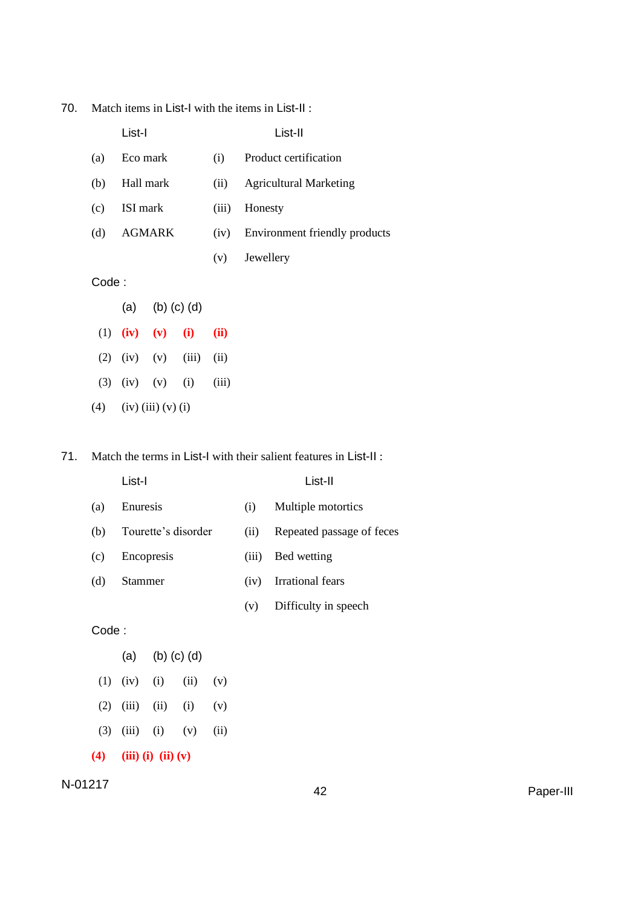| 70. |  | Match items in List-I with the items in List-II: |
|-----|--|--------------------------------------------------|
|-----|--|--------------------------------------------------|

|        | List-I        |       | List-II                       |
|--------|---------------|-------|-------------------------------|
| (a)    | Eco mark      | (i)   | Product certification         |
| (b)    | Hall mark     | (ii)  | <b>Agricultural Marketing</b> |
| (c)    | ISI mark      | (iii) | Honesty                       |
| (d)    | <b>AGMARK</b> | (iv)  | Environment friendly products |
|        |               | (v)   | Jewellery                     |
| Code : |               |       |                               |

- (a) (b) (c) (d)
- (1) **(iv) (v) (i) (ii)** (2) (iv) (v) (iii) (ii)
- (3) (iv) (v) (i) (iii)
- (4) (iv) (iii) (v) (i)

71. Match the terms in List-I with their salient features in List-II :

- List-I List-II (a) Enuresis (i) Multiple motortics (b) Tourette's disorder (ii) Repeated passage of feces (c) Encopresis (iii) Bed wetting (d) Stammer (iv) Irrational fears (v) Difficulty in speech Code : (a) (b) (c) (d)
- (1) (iv) (i) (ii) (v)
- $(2)$   $(iii)$   $(ii)$   $(i)$   $(v)$
- (3) (iii) (i) (v) (ii)
- **(4) (iii) (i) (ii) (v)**

N-01217 <sup>42</sup> Paper-III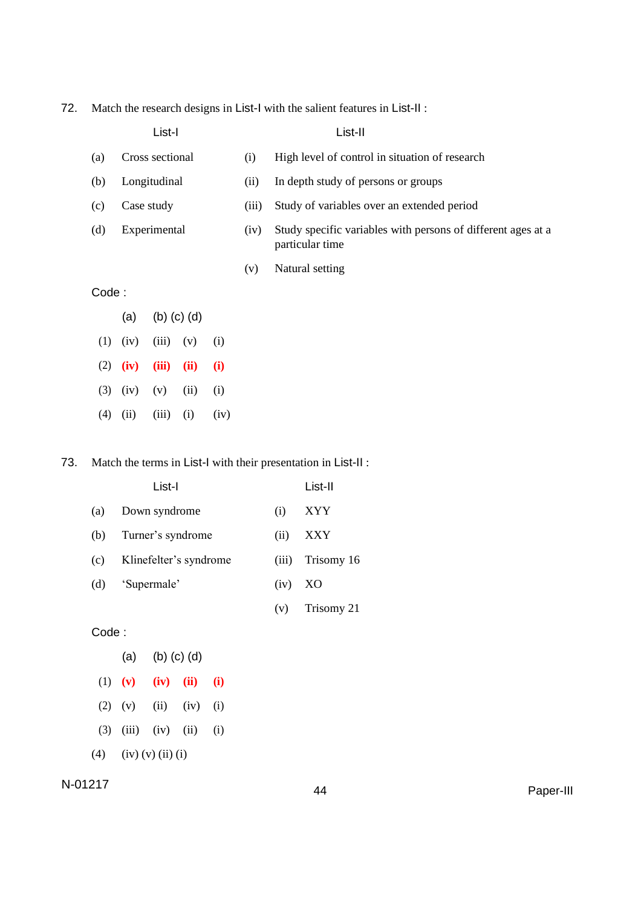72. Match the research designs in List-I with the salient features in List-II :

|       |                          | List-I          |       |                                                                                 |      | List-II                                        |
|-------|--------------------------|-----------------|-------|---------------------------------------------------------------------------------|------|------------------------------------------------|
| (a)   |                          | Cross sectional |       |                                                                                 | (i)  | High level of control in situation of research |
| (b)   |                          | Longitudinal    |       |                                                                                 | (ii) | In depth study of persons or groups            |
| (c)   | Case study               |                 | (iii) | Study of variables over an extended period                                      |      |                                                |
| (d)   | Experimental             |                 | (iv)  | Study specific variables with persons of different ages at a<br>particular time |      |                                                |
|       |                          |                 |       |                                                                                 | (v)  | Natural setting                                |
| Code: |                          |                 |       |                                                                                 |      |                                                |
|       | $(b)$ $(c)$ $(d)$<br>(a) |                 |       |                                                                                 |      |                                                |
| (1)   | (iv)                     | (iii)           | (v)   | (i)                                                                             |      |                                                |
| (2)   | (iv)                     | (iii)           | (ii)  | (i)                                                                             |      |                                                |
| (3)   | (iv)                     | (v)             | (ii)  | (i)                                                                             |      |                                                |
| (4)   | (ii)                     | (iii)           | (i)   | (iv)                                                                            |      |                                                |

73. Match the terms in List-I with their presentation in List-II :

|     | List-I                 |       | List-II    |
|-----|------------------------|-------|------------|
| (a) | Down syndrome          | (i)   | XYY        |
| (b) | Turner's syndrome      | (ii)  | <b>XXY</b> |
| (c) | Klinefelter's syndrome | (iii) | Trisomy 16 |
| (d) | 'Supermale'            | (iv)  | XO         |
|     |                        | (v)   | Trisomy 21 |

Code :

- (a) (b) (c) (d)
- (1) **(v) (iv) (ii) (i)**
- (2) (v) (ii) (iv) (i)
- (3) (iii) (iv) (ii) (i)
- (4) (iv) (v) (ii) (i)

# N-01217 <sup>44</sup> Paper-III